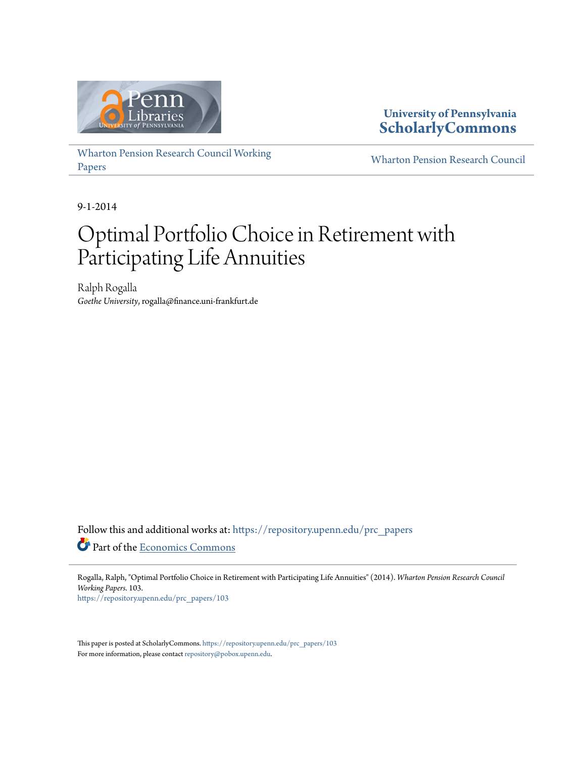

**University of Pennsylvania [ScholarlyCommons](https://repository.upenn.edu?utm_source=repository.upenn.edu%2Fprc_papers%2F103&utm_medium=PDF&utm_campaign=PDFCoverPages)**

[Wharton Pension Research Council Working](https://repository.upenn.edu/prc_papers?utm_source=repository.upenn.edu%2Fprc_papers%2F103&utm_medium=PDF&utm_campaign=PDFCoverPages) [Papers](https://repository.upenn.edu/prc_papers?utm_source=repository.upenn.edu%2Fprc_papers%2F103&utm_medium=PDF&utm_campaign=PDFCoverPages)

[Wharton Pension Research Council](https://repository.upenn.edu/prc?utm_source=repository.upenn.edu%2Fprc_papers%2F103&utm_medium=PDF&utm_campaign=PDFCoverPages)

9-1-2014

# Optimal Portfolio Choice in Retirement with Participating Life Annuities

Ralph Rogalla *Goethe University*, rogalla@finance.uni-frankfurt.de

Follow this and additional works at: [https://repository.upenn.edu/prc\\_papers](https://repository.upenn.edu/prc_papers?utm_source=repository.upenn.edu%2Fprc_papers%2F103&utm_medium=PDF&utm_campaign=PDFCoverPages) Part of the [Economics Commons](http://network.bepress.com/hgg/discipline/340?utm_source=repository.upenn.edu%2Fprc_papers%2F103&utm_medium=PDF&utm_campaign=PDFCoverPages)

Rogalla, Ralph, "Optimal Portfolio Choice in Retirement with Participating Life Annuities" (2014). *Wharton Pension Research Council Working Papers*. 103. [https://repository.upenn.edu/prc\\_papers/103](https://repository.upenn.edu/prc_papers/103?utm_source=repository.upenn.edu%2Fprc_papers%2F103&utm_medium=PDF&utm_campaign=PDFCoverPages)

This paper is posted at ScholarlyCommons. [https://repository.upenn.edu/prc\\_papers/103](https://repository.upenn.edu/prc_papers/103)

For more information, please contact  $\operatorname{repository}\nolimits @$  pobox.upenn.edu.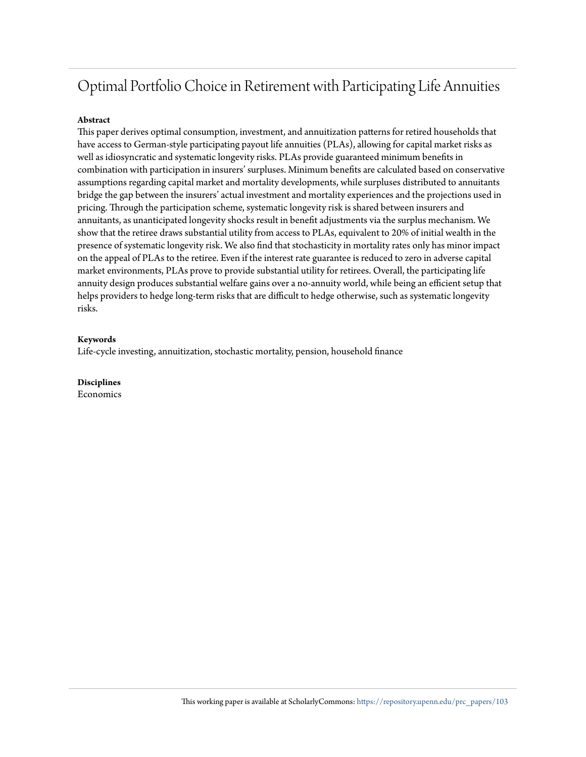#### **Abstract**

This paper derives optimal consumption, investment, and annuitization patterns for retired households that have access to German-style participating payout life annuities (PLAs), allowing for capital market risks as well as idiosyncratic and systematic longevity risks. PLAs provide guaranteed minimum benefits in combination with participation in insurers' surpluses. Minimum benefits are calculated based on conservative assumptions regarding capital market and mortality developments, while surpluses distributed to annuitants bridge the gap between the insurers' actual investment and mortality experiences and the projections used in pricing. Through the participation scheme, systematic longevity risk is shared between insurers and annuitants, as unanticipated longevity shocks result in benefit adjustments via the surplus mechanism. We show that the retiree draws substantial utility from access to PLAs, equivalent to 20% of initial wealth in the presence of systematic longevity risk. We also find that stochasticity in mortality rates only has minor impact on the appeal of PLAs to the retiree. Even if the interest rate guarantee is reduced to zero in adverse capital market environments, PLAs prove to provide substantial utility for retirees. Overall, the participating life annuity design produces substantial welfare gains over a no-annuity world, while being an efficient setup that helps providers to hedge long-term risks that are difficult to hedge otherwise, such as systematic longevity risks.

#### **Keywords**

Life-cycle investing, annuitization, stochastic mortality, pension, household finance

**Disciplines**

Economics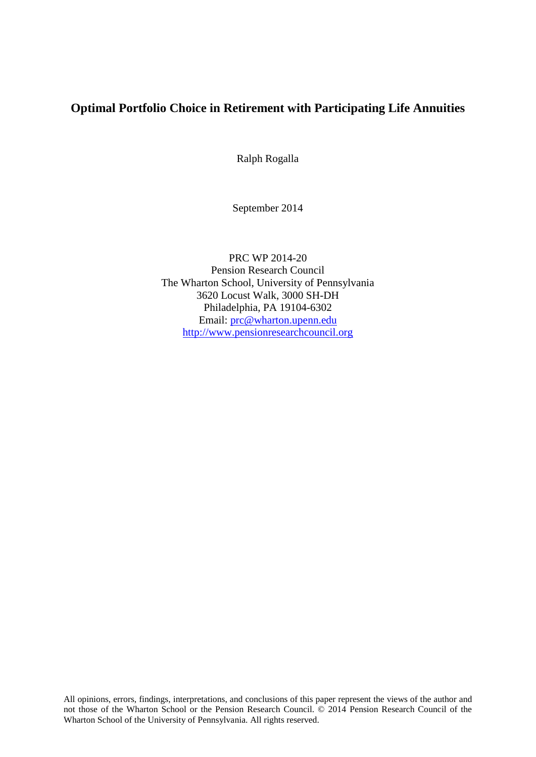Ralph Rogalla

September 2014

PRC WP 2014-20 Pension Research Council The Wharton School, University of Pennsylvania 3620 Locust Walk, 3000 SH-DH Philadelphia, PA 19104-6302 Email: [prc@wharton.upenn.edu](mailto:prc@wharton.upenn.edu) [http://www.pensionresearchcouncil.org](http://www.pensionresearchcouncil.org/)

All opinions, errors, findings, interpretations, and conclusions of this paper represent the views of the author and not those of the Wharton School or the Pension Research Council. © 2014 Pension Research Council of the Wharton School of the University of Pennsylvania. All rights reserved.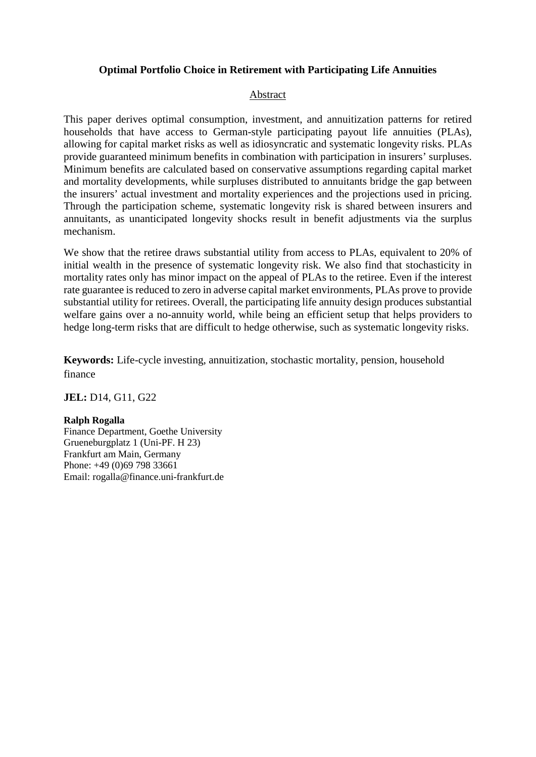#### Abstract

This paper derives optimal consumption, investment, and annuitization patterns for retired households that have access to German-style participating payout life annuities (PLAs), allowing for capital market risks as well as idiosyncratic and systematic longevity risks. PLAs provide guaranteed minimum benefits in combination with participation in insurers' surpluses. Minimum benefits are calculated based on conservative assumptions regarding capital market and mortality developments, while surpluses distributed to annuitants bridge the gap between the insurers' actual investment and mortality experiences and the projections used in pricing. Through the participation scheme, systematic longevity risk is shared between insurers and annuitants, as unanticipated longevity shocks result in benefit adjustments via the surplus mechanism.

We show that the retiree draws substantial utility from access to PLAs, equivalent to 20% of initial wealth in the presence of systematic longevity risk. We also find that stochasticity in mortality rates only has minor impact on the appeal of PLAs to the retiree. Even if the interest rate guarantee is reduced to zero in adverse capital market environments, PLAs prove to provide substantial utility for retirees. Overall, the participating life annuity design produces substantial welfare gains over a no-annuity world, while being an efficient setup that helps providers to hedge long-term risks that are difficult to hedge otherwise, such as systematic longevity risks.

**Keywords:** Life-cycle investing, annuitization, stochastic mortality, pension, household finance

**JEL:** D14, G11, G22

#### **Ralph Rogalla**

Finance Department, Goethe University Grueneburgplatz 1 (Uni-PF. H 23) Frankfurt am Main, Germany Phone: +49 (0)69 798 33661 Email: rogalla@finance.uni-frankfurt.de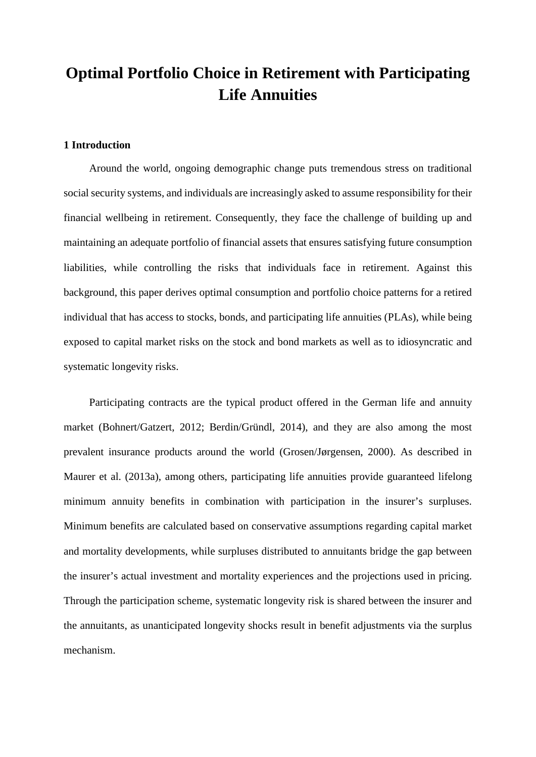#### **1 Introduction**

Around the world, ongoing demographic change puts tremendous stress on traditional social security systems, and individuals are increasingly asked to assume responsibility for their financial wellbeing in retirement. Consequently, they face the challenge of building up and maintaining an adequate portfolio of financial assets that ensures satisfying future consumption liabilities, while controlling the risks that individuals face in retirement. Against this background, this paper derives optimal consumption and portfolio choice patterns for a retired individual that has access to stocks, bonds, and participating life annuities (PLAs), while being exposed to capital market risks on the stock and bond markets as well as to idiosyncratic and systematic longevity risks.

Participating contracts are the typical product offered in the German life and annuity market (Bohnert/Gatzert, 2012; Berdin/Gründl, 2014), and they are also among the most prevalent insurance products around the world (Grosen/Jørgensen, 2000). As described in Maurer et al. (2013a), among others, participating life annuities provide guaranteed lifelong minimum annuity benefits in combination with participation in the insurer's surpluses. Minimum benefits are calculated based on conservative assumptions regarding capital market and mortality developments, while surpluses distributed to annuitants bridge the gap between the insurer's actual investment and mortality experiences and the projections used in pricing. Through the participation scheme, systematic longevity risk is shared between the insurer and the annuitants, as unanticipated longevity shocks result in benefit adjustments via the surplus mechanism.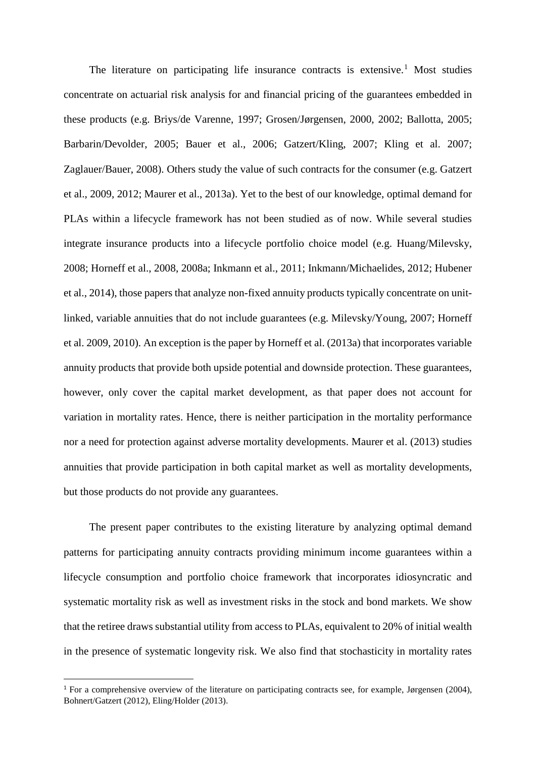The literature on participating life insurance contracts is extensive.<sup>[1](#page-5-0)</sup> Most studies concentrate on actuarial risk analysis for and financial pricing of the guarantees embedded in these products (e.g. Briys/de Varenne, 1997; Grosen/Jørgensen, 2000, 2002; Ballotta, 2005; Barbarin/Devolder, 2005; Bauer et al., 2006; Gatzert/Kling, 2007; Kling et al. 2007; Zaglauer/Bauer, 2008). Others study the value of such contracts for the consumer (e.g. Gatzert et al., 2009, 2012; Maurer et al., 2013a). Yet to the best of our knowledge, optimal demand for PLAs within a lifecycle framework has not been studied as of now. While several studies integrate insurance products into a lifecycle portfolio choice model (e.g. Huang/Milevsky, 2008; Horneff et al., 2008, 2008a; Inkmann et al., 2011; Inkmann/Michaelides, 2012; Hubener et al., 2014), those papers that analyze non-fixed annuity products typically concentrate on unitlinked, variable annuities that do not include guarantees (e.g. Milevsky/Young, 2007; Horneff et al. 2009, 2010). An exception is the paper by Horneff et al. (2013a) that incorporates variable annuity products that provide both upside potential and downside protection. These guarantees, however, only cover the capital market development, as that paper does not account for variation in mortality rates. Hence, there is neither participation in the mortality performance nor a need for protection against adverse mortality developments. Maurer et al. (2013) studies annuities that provide participation in both capital market as well as mortality developments, but those products do not provide any guarantees.

The present paper contributes to the existing literature by analyzing optimal demand patterns for participating annuity contracts providing minimum income guarantees within a lifecycle consumption and portfolio choice framework that incorporates idiosyncratic and systematic mortality risk as well as investment risks in the stock and bond markets. We show that the retiree draws substantial utility from access to PLAs, equivalent to 20% of initial wealth in the presence of systematic longevity risk. We also find that stochasticity in mortality rates

 $\overline{a}$ 

<span id="page-5-0"></span><sup>&</sup>lt;sup>1</sup> For a comprehensive overview of the literature on participating contracts see, for example, Jørgensen (2004), Bohnert/Gatzert (2012), Eling/Holder (2013).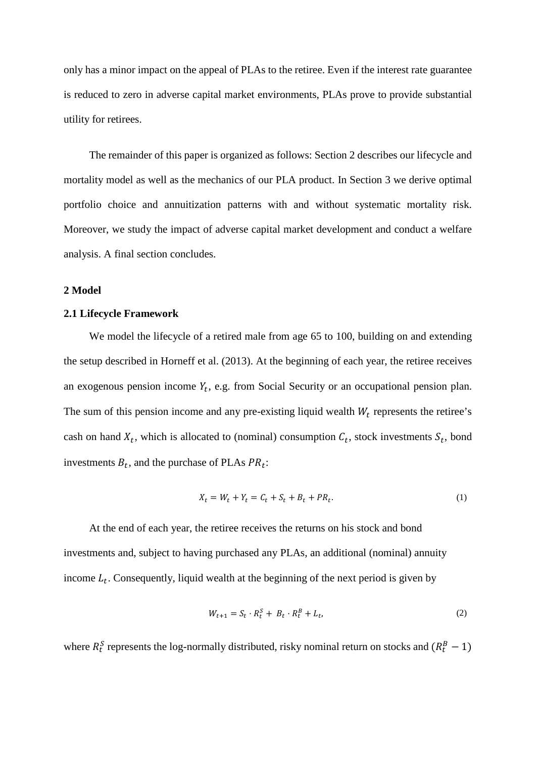only has a minor impact on the appeal of PLAs to the retiree. Even if the interest rate guarantee is reduced to zero in adverse capital market environments, PLAs prove to provide substantial utility for retirees.

The remainder of this paper is organized as follows: Section 2 describes our lifecycle and mortality model as well as the mechanics of our PLA product. In Section 3 we derive optimal portfolio choice and annuitization patterns with and without systematic mortality risk. Moreover, we study the impact of adverse capital market development and conduct a welfare analysis. A final section concludes.

#### **2 Model**

#### **2.1 Lifecycle Framework**

We model the lifecycle of a retired male from age 65 to 100, building on and extending the setup described in Horneff et al. (2013). At the beginning of each year, the retiree receives an exogenous pension income  $Y_t$ , e.g. from Social Security or an occupational pension plan. The sum of this pension income and any pre-existing liquid wealth  $W_t$  represents the retiree's cash on hand  $X_t$ , which is allocated to (nominal) consumption  $C_t$ , stock investments  $S_t$ , bond investments  $B_t$ , and the purchase of PLAs  $PR_t$ :

$$
X_t = W_t + Y_t = C_t + S_t + B_t + PR_t.
$$
 (1)

At the end of each year, the retiree receives the returns on his stock and bond investments and, subject to having purchased any PLAs, an additional (nominal) annuity income  $L_t$ . Consequently, liquid wealth at the beginning of the next period is given by

$$
W_{t+1} = S_t \cdot R_t^S + B_t \cdot R_t^B + L_t,\tag{2}
$$

where  $R_t^S$  represents the log-normally distributed, risky nominal return on stocks and  $(R_t^B - 1)$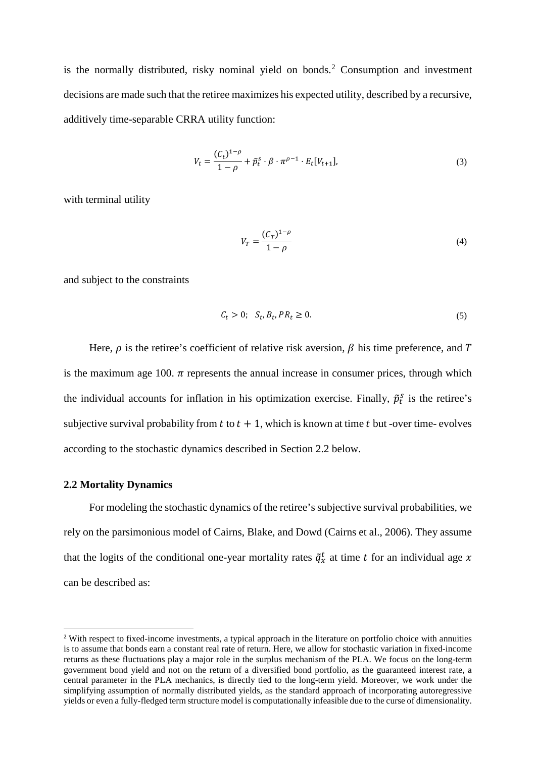is the normally distributed, risky nominal yield on bonds.[2](#page-7-0) Consumption and investment decisions are made such that the retiree maximizes his expected utility, described by a recursive, additively time-separable CRRA utility function:

$$
V_t = \frac{(C_t)^{1-\rho}}{1-\rho} + \tilde{p}_t^s \cdot \beta \cdot \pi^{\rho-1} \cdot E_t[V_{t+1}],
$$
\n(3)

with terminal utility

$$
V_T = \frac{(C_T)^{1-\rho}}{1-\rho}
$$
 (4)

and subject to the constraints

$$
C_t > 0; \quad S_t, B_t, PR_t \ge 0. \tag{5}
$$

Here,  $\rho$  is the retiree's coefficient of relative risk aversion,  $\beta$  his time preference, and T is the maximum age 100.  $\pi$  represents the annual increase in consumer prices, through which the individual accounts for inflation in his optimization exercise. Finally,  $\tilde{p}_t^s$  is the retiree's subjective survival probability from  $t$  to  $t + 1$ , which is known at time  $t$  but -over time- evolves according to the stochastic dynamics described in Section 2.2 below.

#### **2.2 Mortality Dynamics**

 $\overline{a}$ 

For modeling the stochastic dynamics of the retiree's subjective survival probabilities, we rely on the parsimonious model of Cairns, Blake, and Dowd (Cairns et al., 2006). They assume that the logits of the conditional one-year mortality rates  $\tilde{q}_x^t$  at time t for an individual age x can be described as:

<span id="page-7-0"></span><sup>2</sup> With respect to fixed-income investments, a typical approach in the literature on portfolio choice with annuities is to assume that bonds earn a constant real rate of return. Here, we allow for stochastic variation in fixed-income returns as these fluctuations play a major role in the surplus mechanism of the PLA. We focus on the long-term government bond yield and not on the return of a diversified bond portfolio, as the guaranteed interest rate, a central parameter in the PLA mechanics, is directly tied to the long-term yield. Moreover, we work under the simplifying assumption of normally distributed yields, as the standard approach of incorporating autoregressive yields or even a fully-fledged term structure model is computationally infeasible due to the curse of dimensionality.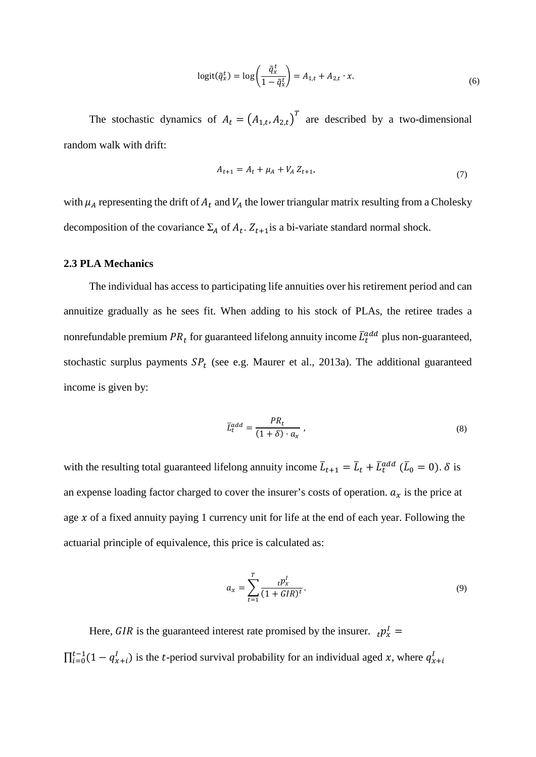$$
logit(\tilde{q}_x^t) = log\left(\frac{\tilde{q}_x^t}{1 - \tilde{q}_x^t}\right) = A_{1,t} + A_{2,t} \cdot x.
$$
\n(6)

The stochastic dynamics of  $A_t = (A_{1,t}, A_{2,t})^T$  are described by a two-dimensional random walk with drift:

$$
A_{t+1} = A_t + \mu_A + V_A Z_{t+1},
$$
\n<sup>(7)</sup>

with  $\mu_A$  representing the drift of  $A_t$  and  $V_A$  the lower triangular matrix resulting from a Cholesky decomposition of the covariance  $\Sigma_A$  of  $A_t$ .  $Z_{t+1}$  is a bi-variate standard normal shock.

#### **2.3 PLA Mechanics**

The individual has access to participating life annuities over his retirement period and can annuitize gradually as he sees fit. When adding to his stock of PLAs, the retiree trades a nonrefundable premium  $PR_t$  for guaranteed lifelong annuity income  $\bar{L}_t^{add}$  plus non-guaranteed, stochastic surplus payments  $SP<sub>t</sub>$  (see e.g. Maurer et al., 2013a). The additional guaranteed income is given by:

$$
\bar{L}_t^{add} = \frac{PR_t}{(1+\delta) \cdot a_x},\tag{8}
$$

with the resulting total guaranteed lifelong annuity income  $\bar{L}_{t+1} = \bar{L}_t + \bar{L}_t^{add}$  ( $\bar{L}_0 = 0$ ).  $\delta$  is an expense loading factor charged to cover the insurer's costs of operation.  $a_x$  is the price at age  $x$  of a fixed annuity paying 1 currency unit for life at the end of each year. Following the actuarial principle of equivalence, this price is calculated as:

$$
a_x = \sum_{t=1}^T \frac{t p_x^l}{(1 + GIR)^t}.
$$
\n
$$
(9)
$$

Here, *GIR* is the guaranteed interest rate promised by the insurer.  $_{t}p_{x}^{I} =$  $\prod_{i=0}^{t-1} (1 - q_{x+i}^l)$  is the *t*-period survival probability for an individual aged x, where  $q_{x+i}^l$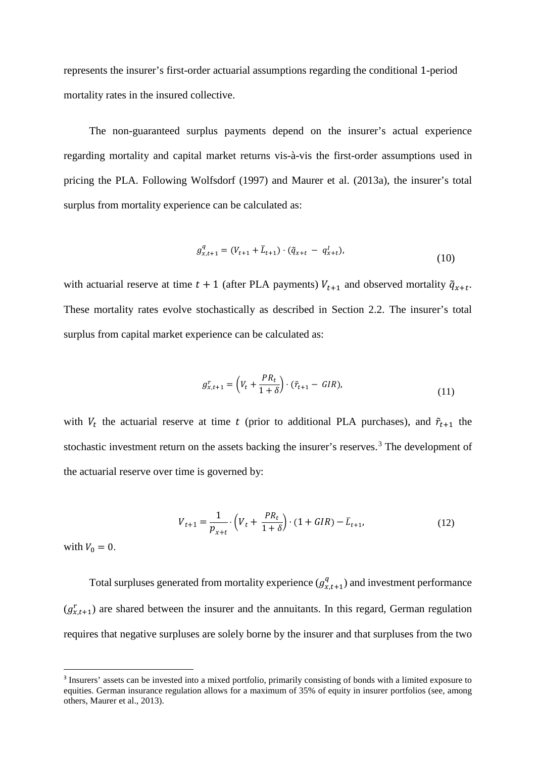represents the insurer's first-order actuarial assumptions regarding the conditional 1-period mortality rates in the insured collective.

The non-guaranteed surplus payments depend on the insurer's actual experience regarding mortality and capital market returns vis-à-vis the first-order assumptions used in pricing the PLA. Following Wolfsdorf (1997) and Maurer et al. (2013a), the insurer's total surplus from mortality experience can be calculated as:

$$
g_{x,t+1}^q = (V_{t+1} + \bar{L}_{t+1}) \cdot (\tilde{q}_{x+t} - q_{x+t}^l),
$$
\n(10)

with actuarial reserve at time  $t + 1$  (after PLA payments)  $V_{t+1}$  and observed mortality  $\tilde{q}_{x+t}$ . These mortality rates evolve stochastically as described in Section 2.2. The insurer's total surplus from capital market experience can be calculated as:

$$
g_{x,t+1}^r = \left(V_t + \frac{PR_t}{1+\delta}\right) \cdot (\tilde{r}_{t+1} - GIR),\tag{11}
$$

with  $V_t$  the actuarial reserve at time t (prior to additional PLA purchases), and  $\tilde{r}_{t+1}$  the stochastic investment return on the assets backing the insurer's reserves.<sup>[3](#page-9-0)</sup> The development of the actuarial reserve over time is governed by:

$$
V_{t+1} = \frac{1}{p_{x+t}} \cdot \left( V_t + \frac{PR_t}{1+\delta} \right) \cdot (1 + GIR) - \bar{L}_{t+1},\tag{12}
$$

with  $V_0 = 0$ .

 $\overline{a}$ 

Total surpluses generated from mortality experience  $(g_{x,t+1}^q)$  and investment performance  $(g_{x,t+1}^r)$  are shared between the insurer and the annuitants. In this regard, German regulation requires that negative surpluses are solely borne by the insurer and that surpluses from the two

<span id="page-9-0"></span><sup>&</sup>lt;sup>3</sup> Insurers' assets can be invested into a mixed portfolio, primarily consisting of bonds with a limited exposure to equities. German insurance regulation allows for a maximum of 35% of equity in insurer portfolios (see, among others, Maurer et al., 2013).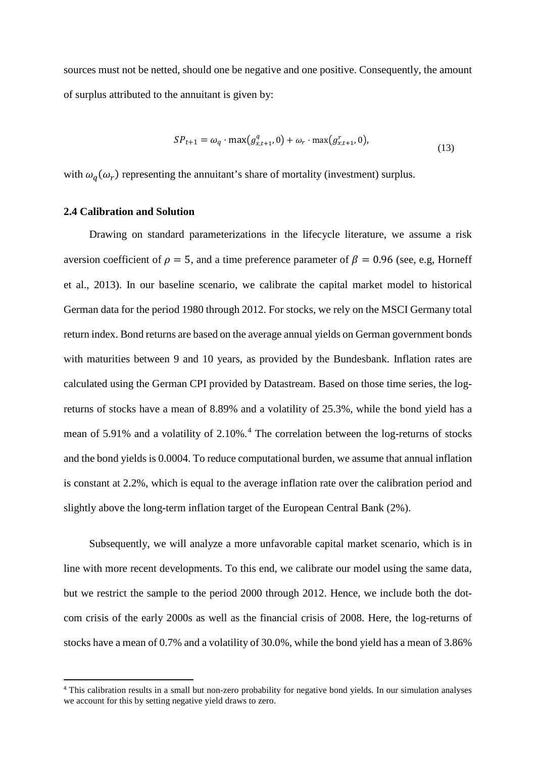sources must not be netted, should one be negative and one positive. Consequently, the amount of surplus attributed to the annuitant is given by:

$$
SP_{t+1} = \omega_q \cdot \max(g_{x,t+1}^q, 0) + \omega_r \cdot \max(g_{x,t+1}^r, 0),
$$
\n(13)

with  $\omega_a(\omega_r)$  representing the annuitant's share of mortality (investment) surplus.

#### **2.4 Calibration and Solution**

l

Drawing on standard parameterizations in the lifecycle literature, we assume a risk aversion coefficient of  $\rho = 5$ , and a time preference parameter of  $\beta = 0.96$  (see, e.g, Horneff et al., 2013). In our baseline scenario, we calibrate the capital market model to historical German data for the period 1980 through 2012. For stocks, we rely on the MSCI Germany total return index. Bond returns are based on the average annual yields on German government bonds with maturities between 9 and 10 years, as provided by the Bundesbank. Inflation rates are calculated using the German CPI provided by Datastream. Based on those time series, the logreturns of stocks have a mean of 8.89% and a volatility of 25.3%, while the bond yield has a mean of 5.91% and a volatility of 2.10%.<sup>[4](#page-10-0)</sup> The correlation between the log-returns of stocks and the bond yields is 0.0004. To reduce computational burden, we assume that annual inflation is constant at 2.2%, which is equal to the average inflation rate over the calibration period and slightly above the long-term inflation target of the European Central Bank (2%).

Subsequently, we will analyze a more unfavorable capital market scenario, which is in line with more recent developments. To this end, we calibrate our model using the same data, but we restrict the sample to the period 2000 through 2012. Hence, we include both the dotcom crisis of the early 2000s as well as the financial crisis of 2008. Here, the log-returns of stocks have a mean of 0.7% and a volatility of 30.0%, while the bond yield has a mean of 3.86%

<span id="page-10-0"></span><sup>4</sup> This calibration results in a small but non-zero probability for negative bond yields. In our simulation analyses we account for this by setting negative yield draws to zero.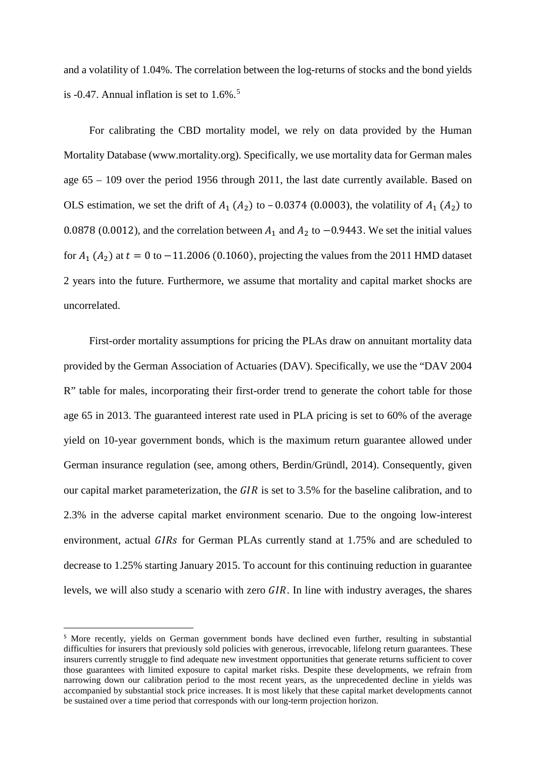and a volatility of 1.04%. The correlation between the log-returns of stocks and the bond yields is -0.47. Annual inflation is set to  $1.6\%$ .<sup>[5](#page-11-0)</sup>

For calibrating the CBD mortality model, we rely on data provided by the Human Mortality Database (www.mortality.org). Specifically, we use mortality data for German males age 65 – 109 over the period 1956 through 2011, the last date currently available. Based on OLS estimation, we set the drift of  $A_1$  ( $A_2$ ) to – 0.0374 (0.0003), the volatility of  $A_1$  ( $A_2$ ) to 0.0878 (0.0012), and the correlation between  $A_1$  and  $A_2$  to  $-0.9443$ . We set the initial values for  $A_1$  ( $A_2$ ) at  $t = 0$  to  $-11.2006$  (0.1060), projecting the values from the 2011 HMD dataset 2 years into the future. Furthermore, we assume that mortality and capital market shocks are uncorrelated.

First-order mortality assumptions for pricing the PLAs draw on annuitant mortality data provided by the German Association of Actuaries (DAV). Specifically, we use the "DAV 2004 R" table for males, incorporating their first-order trend to generate the cohort table for those age 65 in 2013. The guaranteed interest rate used in PLA pricing is set to 60% of the average yield on 10-year government bonds, which is the maximum return guarantee allowed under German insurance regulation (see, among others, Berdin/Gründl, 2014). Consequently, given our capital market parameterization, the  $GIR$  is set to 3.5% for the baseline calibration, and to 2.3% in the adverse capital market environment scenario. Due to the ongoing low-interest environment, actual GIRs for German PLAs currently stand at 1.75% and are scheduled to decrease to 1.25% starting January 2015. To account for this continuing reduction in guarantee levels, we will also study a scenario with zero  $\overline{GIR}$ . In line with industry averages, the shares

 $\overline{a}$ 

<span id="page-11-0"></span><sup>5</sup> More recently, yields on German government bonds have declined even further, resulting in substantial difficulties for insurers that previously sold policies with generous, irrevocable, lifelong return guarantees. These insurers currently struggle to find adequate new investment opportunities that generate returns sufficient to cover those guarantees with limited exposure to capital market risks. Despite these developments, we refrain from narrowing down our calibration period to the most recent years, as the unprecedented decline in yields was accompanied by substantial stock price increases. It is most likely that these capital market developments cannot be sustained over a time period that corresponds with our long-term projection horizon.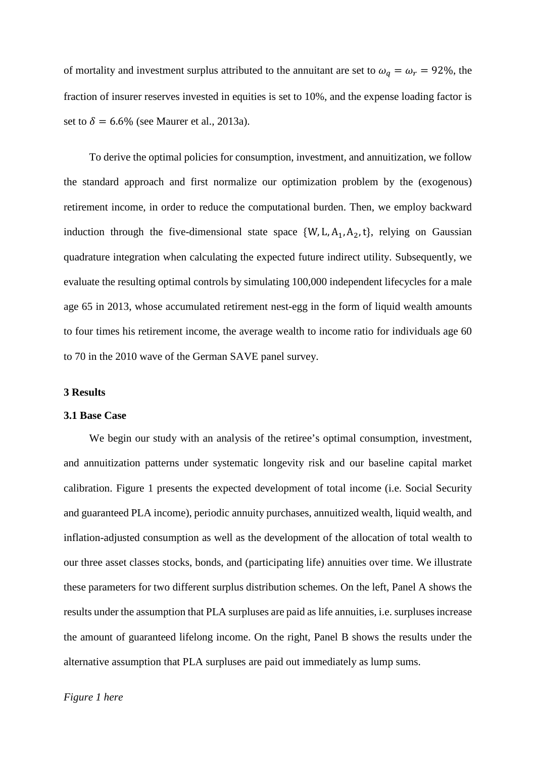of mortality and investment surplus attributed to the annuitant are set to  $\omega_q = \omega_r = 92\%$ , the fraction of insurer reserves invested in equities is set to 10%, and the expense loading factor is set to  $\delta = 6.6\%$  (see Maurer et al., 2013a).

To derive the optimal policies for consumption, investment, and annuitization, we follow the standard approach and first normalize our optimization problem by the (exogenous) retirement income, in order to reduce the computational burden. Then, we employ backward induction through the five-dimensional state space  $\{W, L, A_1, A_2, t\}$ , relying on Gaussian quadrature integration when calculating the expected future indirect utility. Subsequently, we evaluate the resulting optimal controls by simulating 100,000 independent lifecycles for a male age 65 in 2013, whose accumulated retirement nest-egg in the form of liquid wealth amounts to four times his retirement income, the average wealth to income ratio for individuals age 60 to 70 in the 2010 wave of the German SAVE panel survey.

#### **3 Results**

#### **3.1 Base Case**

We begin our study with an analysis of the retiree's optimal consumption, investment, and annuitization patterns under systematic longevity risk and our baseline capital market calibration. Figure 1 presents the expected development of total income (i.e. Social Security and guaranteed PLA income), periodic annuity purchases, annuitized wealth, liquid wealth, and inflation-adjusted consumption as well as the development of the allocation of total wealth to our three asset classes stocks, bonds, and (participating life) annuities over time. We illustrate these parameters for two different surplus distribution schemes. On the left, Panel A shows the results under the assumption that PLA surpluses are paid as life annuities, i.e. surpluses increase the amount of guaranteed lifelong income. On the right, Panel B shows the results under the alternative assumption that PLA surpluses are paid out immediately as lump sums.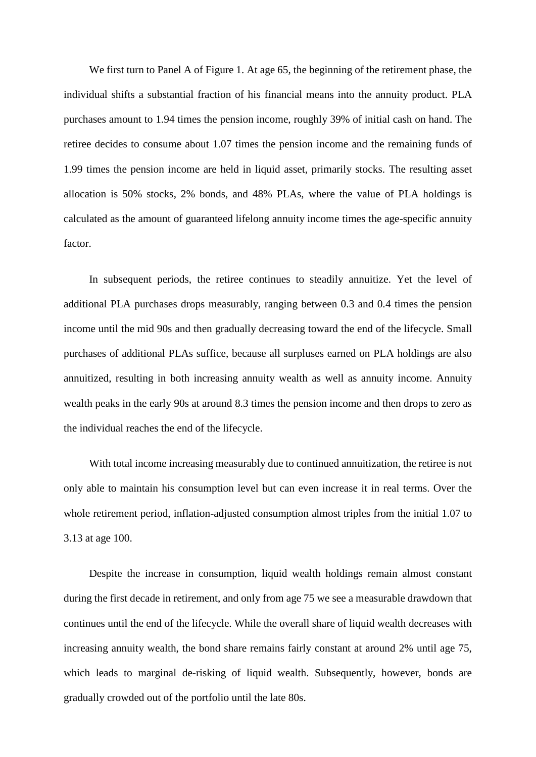We first turn to Panel A of Figure 1. At age 65, the beginning of the retirement phase, the individual shifts a substantial fraction of his financial means into the annuity product. PLA purchases amount to 1.94 times the pension income, roughly 39% of initial cash on hand. The retiree decides to consume about 1.07 times the pension income and the remaining funds of 1.99 times the pension income are held in liquid asset, primarily stocks. The resulting asset allocation is 50% stocks, 2% bonds, and 48% PLAs, where the value of PLA holdings is calculated as the amount of guaranteed lifelong annuity income times the age-specific annuity factor.

In subsequent periods, the retiree continues to steadily annuitize. Yet the level of additional PLA purchases drops measurably, ranging between 0.3 and 0.4 times the pension income until the mid 90s and then gradually decreasing toward the end of the lifecycle. Small purchases of additional PLAs suffice, because all surpluses earned on PLA holdings are also annuitized, resulting in both increasing annuity wealth as well as annuity income. Annuity wealth peaks in the early 90s at around 8.3 times the pension income and then drops to zero as the individual reaches the end of the lifecycle.

With total income increasing measurably due to continued annuitization, the retiree is not only able to maintain his consumption level but can even increase it in real terms. Over the whole retirement period, inflation-adjusted consumption almost triples from the initial 1.07 to 3.13 at age 100.

Despite the increase in consumption, liquid wealth holdings remain almost constant during the first decade in retirement, and only from age 75 we see a measurable drawdown that continues until the end of the lifecycle. While the overall share of liquid wealth decreases with increasing annuity wealth, the bond share remains fairly constant at around 2% until age 75, which leads to marginal de-risking of liquid wealth. Subsequently, however, bonds are gradually crowded out of the portfolio until the late 80s.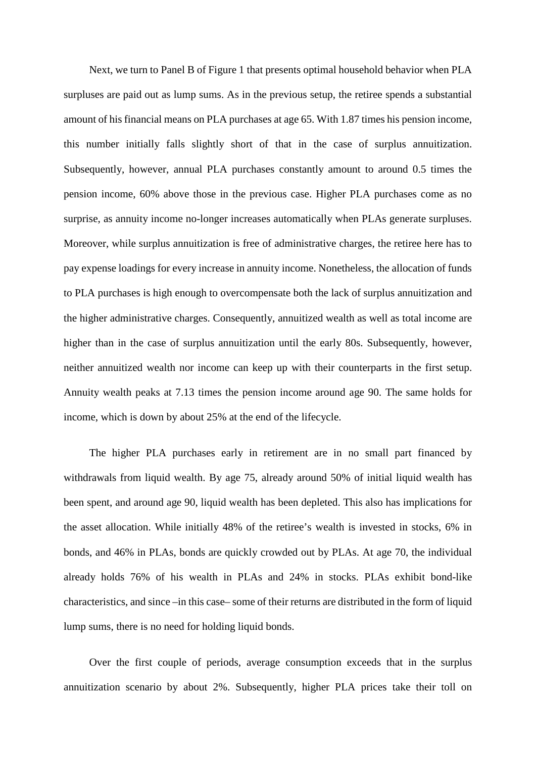Next, we turn to Panel B of Figure 1 that presents optimal household behavior when PLA surpluses are paid out as lump sums. As in the previous setup, the retiree spends a substantial amount of his financial means on PLA purchases at age 65. With 1.87 times his pension income, this number initially falls slightly short of that in the case of surplus annuitization. Subsequently, however, annual PLA purchases constantly amount to around 0.5 times the pension income, 60% above those in the previous case. Higher PLA purchases come as no surprise, as annuity income no-longer increases automatically when PLAs generate surpluses. Moreover, while surplus annuitization is free of administrative charges, the retiree here has to pay expense loadings for every increase in annuity income. Nonetheless, the allocation of funds to PLA purchases is high enough to overcompensate both the lack of surplus annuitization and the higher administrative charges. Consequently, annuitized wealth as well as total income are higher than in the case of surplus annuitization until the early 80s. Subsequently, however, neither annuitized wealth nor income can keep up with their counterparts in the first setup. Annuity wealth peaks at 7.13 times the pension income around age 90. The same holds for income, which is down by about 25% at the end of the lifecycle.

The higher PLA purchases early in retirement are in no small part financed by withdrawals from liquid wealth. By age 75, already around 50% of initial liquid wealth has been spent, and around age 90, liquid wealth has been depleted. This also has implications for the asset allocation. While initially 48% of the retiree's wealth is invested in stocks, 6% in bonds, and 46% in PLAs, bonds are quickly crowded out by PLAs. At age 70, the individual already holds 76% of his wealth in PLAs and 24% in stocks. PLAs exhibit bond-like characteristics, and since –in this case– some of their returns are distributed in the form of liquid lump sums, there is no need for holding liquid bonds.

Over the first couple of periods, average consumption exceeds that in the surplus annuitization scenario by about 2%. Subsequently, higher PLA prices take their toll on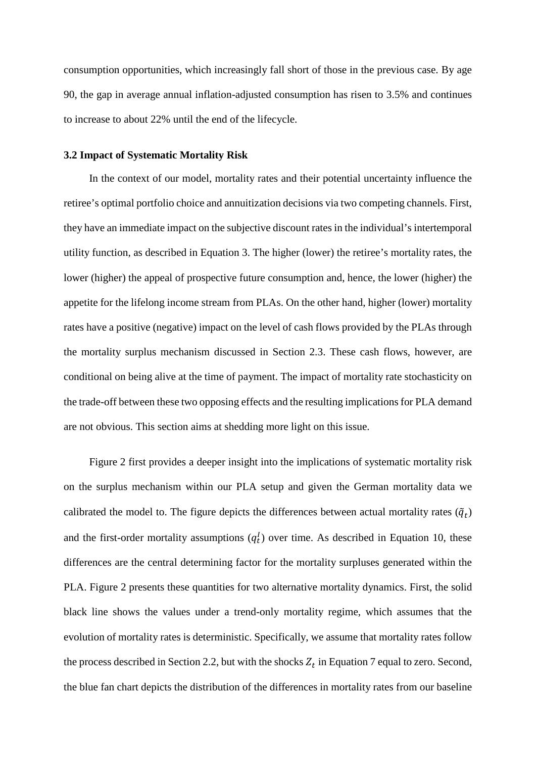consumption opportunities, which increasingly fall short of those in the previous case. By age 90, the gap in average annual inflation-adjusted consumption has risen to 3.5% and continues to increase to about 22% until the end of the lifecycle.

#### **3.2 Impact of Systematic Mortality Risk**

In the context of our model, mortality rates and their potential uncertainty influence the retiree's optimal portfolio choice and annuitization decisions via two competing channels. First, they have an immediate impact on the subjective discount rates in the individual's intertemporal utility function, as described in Equation 3. The higher (lower) the retiree's mortality rates, the lower (higher) the appeal of prospective future consumption and, hence, the lower (higher) the appetite for the lifelong income stream from PLAs. On the other hand, higher (lower) mortality rates have a positive (negative) impact on the level of cash flows provided by the PLAs through the mortality surplus mechanism discussed in Section 2.3. These cash flows, however, are conditional on being alive at the time of payment. The impact of mortality rate stochasticity on the trade-off between these two opposing effects and the resulting implications for PLA demand are not obvious. This section aims at shedding more light on this issue.

Figure 2 first provides a deeper insight into the implications of systematic mortality risk on the surplus mechanism within our PLA setup and given the German mortality data we calibrated the model to. The figure depicts the differences between actual mortality rates  $(\tilde{q}_t)$ and the first-order mortality assumptions  $(q_t^I)$  over time. As described in Equation 10, these differences are the central determining factor for the mortality surpluses generated within the PLA. Figure 2 presents these quantities for two alternative mortality dynamics. First, the solid black line shows the values under a trend-only mortality regime, which assumes that the evolution of mortality rates is deterministic. Specifically, we assume that mortality rates follow the process described in Section 2.2, but with the shocks  $Z_t$  in Equation 7 equal to zero. Second, the blue fan chart depicts the distribution of the differences in mortality rates from our baseline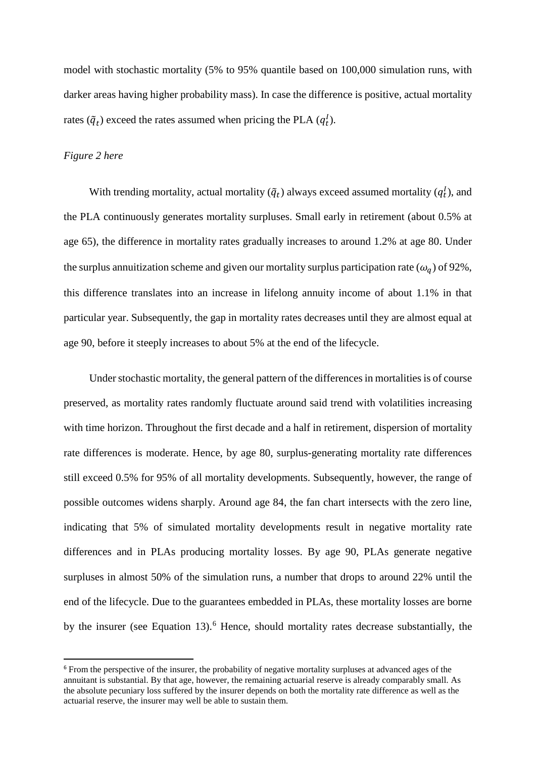model with stochastic mortality (5% to 95% quantile based on 100,000 simulation runs, with darker areas having higher probability mass). In case the difference is positive, actual mortality rates  $(\tilde{q}_t)$  exceed the rates assumed when pricing the PLA  $(q_t^l)$ .

#### *Figure 2 here*

 $\overline{a}$ 

With trending mortality, actual mortality  $(\tilde{q}_t)$  always exceed assumed mortality  $(q_t^l)$ , and the PLA continuously generates mortality surpluses. Small early in retirement (about 0.5% at age 65), the difference in mortality rates gradually increases to around 1.2% at age 80. Under the surplus annuitization scheme and given our mortality surplus participation rate  $(\omega_q)$  of 92%, this difference translates into an increase in lifelong annuity income of about 1.1% in that particular year. Subsequently, the gap in mortality rates decreases until they are almost equal at age 90, before it steeply increases to about 5% at the end of the lifecycle.

Under stochastic mortality, the general pattern of the differences in mortalities is of course preserved, as mortality rates randomly fluctuate around said trend with volatilities increasing with time horizon. Throughout the first decade and a half in retirement, dispersion of mortality rate differences is moderate. Hence, by age 80, surplus-generating mortality rate differences still exceed 0.5% for 95% of all mortality developments. Subsequently, however, the range of possible outcomes widens sharply. Around age 84, the fan chart intersects with the zero line, indicating that 5% of simulated mortality developments result in negative mortality rate differences and in PLAs producing mortality losses. By age 90, PLAs generate negative surpluses in almost 50% of the simulation runs, a number that drops to around 22% until the end of the lifecycle. Due to the guarantees embedded in PLAs, these mortality losses are borne by the insurer (see Equation 13).<sup>[6](#page-16-0)</sup> Hence, should mortality rates decrease substantially, the

<span id="page-16-0"></span><sup>&</sup>lt;sup>6</sup> From the perspective of the insurer, the probability of negative mortality surpluses at advanced ages of the annuitant is substantial. By that age, however, the remaining actuarial reserve is already comparably small. As the absolute pecuniary loss suffered by the insurer depends on both the mortality rate difference as well as the actuarial reserve, the insurer may well be able to sustain them.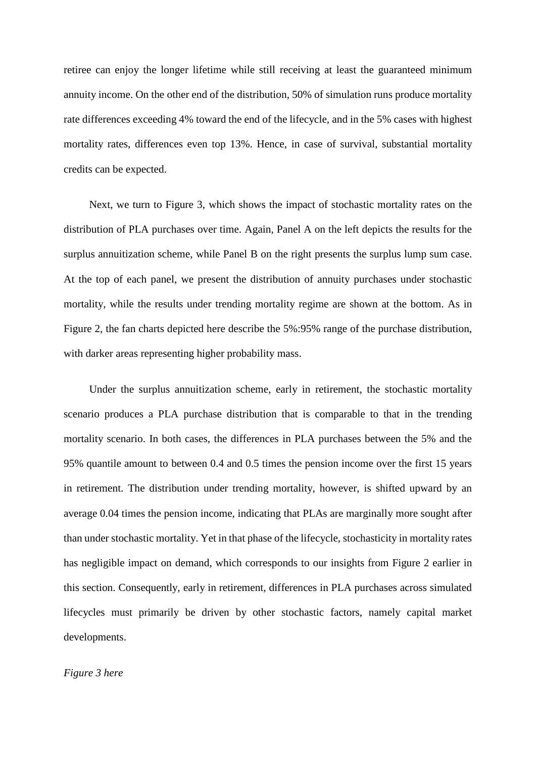retiree can enjoy the longer lifetime while still receiving at least the guaranteed minimum annuity income. On the other end of the distribution, 50% of simulation runs produce mortality rate differences exceeding 4% toward the end of the lifecycle, and in the 5% cases with highest mortality rates, differences even top 13%. Hence, in case of survival, substantial mortality credits can be expected.

Next, we turn to Figure 3, which shows the impact of stochastic mortality rates on the distribution of PLA purchases over time. Again, Panel A on the left depicts the results for the surplus annuitization scheme, while Panel B on the right presents the surplus lump sum case. At the top of each panel, we present the distribution of annuity purchases under stochastic mortality, while the results under trending mortality regime are shown at the bottom. As in Figure 2, the fan charts depicted here describe the 5%:95% range of the purchase distribution, with darker areas representing higher probability mass.

Under the surplus annuitization scheme, early in retirement, the stochastic mortality scenario produces a PLA purchase distribution that is comparable to that in the trending mortality scenario. In both cases, the differences in PLA purchases between the 5% and the 95% quantile amount to between 0.4 and 0.5 times the pension income over the first 15 years in retirement. The distribution under trending mortality, however, is shifted upward by an average 0.04 times the pension income, indicating that PLAs are marginally more sought after than under stochastic mortality. Yet in that phase of the lifecycle, stochasticity in mortality rates has negligible impact on demand, which corresponds to our insights from Figure 2 earlier in this section. Consequently, early in retirement, differences in PLA purchases across simulated lifecycles must primarily be driven by other stochastic factors, namely capital market developments.

#### *Figure 3 here*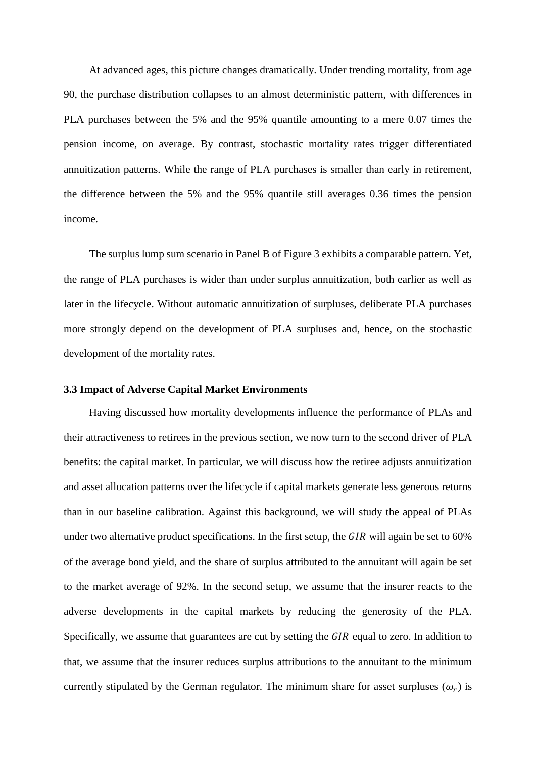At advanced ages, this picture changes dramatically. Under trending mortality, from age 90, the purchase distribution collapses to an almost deterministic pattern, with differences in PLA purchases between the 5% and the 95% quantile amounting to a mere 0.07 times the pension income, on average. By contrast, stochastic mortality rates trigger differentiated annuitization patterns. While the range of PLA purchases is smaller than early in retirement, the difference between the 5% and the 95% quantile still averages 0.36 times the pension income.

The surplus lump sum scenario in Panel B of Figure 3 exhibits a comparable pattern. Yet, the range of PLA purchases is wider than under surplus annuitization, both earlier as well as later in the lifecycle. Without automatic annuitization of surpluses, deliberate PLA purchases more strongly depend on the development of PLA surpluses and, hence, on the stochastic development of the mortality rates.

#### **3.3 Impact of Adverse Capital Market Environments**

Having discussed how mortality developments influence the performance of PLAs and their attractiveness to retirees in the previous section, we now turn to the second driver of PLA benefits: the capital market. In particular, we will discuss how the retiree adjusts annuitization and asset allocation patterns over the lifecycle if capital markets generate less generous returns than in our baseline calibration. Against this background, we will study the appeal of PLAs under two alternative product specifications. In the first setup, the  $\overline{GIR}$  will again be set to 60% of the average bond yield, and the share of surplus attributed to the annuitant will again be set to the market average of 92%. In the second setup, we assume that the insurer reacts to the adverse developments in the capital markets by reducing the generosity of the PLA. Specifically, we assume that guarantees are cut by setting the  $GIR$  equal to zero. In addition to that, we assume that the insurer reduces surplus attributions to the annuitant to the minimum currently stipulated by the German regulator. The minimum share for asset surpluses  $(\omega_r)$  is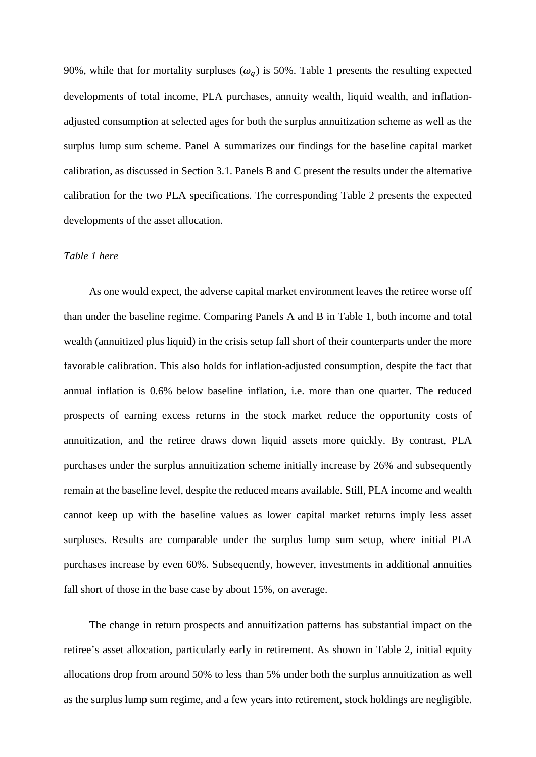90%, while that for mortality surpluses ( $\omega_q$ ) is 50%. Table 1 presents the resulting expected developments of total income, PLA purchases, annuity wealth, liquid wealth, and inflationadjusted consumption at selected ages for both the surplus annuitization scheme as well as the surplus lump sum scheme. Panel A summarizes our findings for the baseline capital market calibration, as discussed in Section 3.1. Panels B and C present the results under the alternative calibration for the two PLA specifications. The corresponding Table 2 presents the expected developments of the asset allocation.

#### *Table 1 here*

As one would expect, the adverse capital market environment leaves the retiree worse off than under the baseline regime. Comparing Panels A and B in Table 1, both income and total wealth (annuitized plus liquid) in the crisis setup fall short of their counterparts under the more favorable calibration. This also holds for inflation-adjusted consumption, despite the fact that annual inflation is 0.6% below baseline inflation, i.e. more than one quarter. The reduced prospects of earning excess returns in the stock market reduce the opportunity costs of annuitization, and the retiree draws down liquid assets more quickly. By contrast, PLA purchases under the surplus annuitization scheme initially increase by 26% and subsequently remain at the baseline level, despite the reduced means available. Still, PLA income and wealth cannot keep up with the baseline values as lower capital market returns imply less asset surpluses. Results are comparable under the surplus lump sum setup, where initial PLA purchases increase by even 60%. Subsequently, however, investments in additional annuities fall short of those in the base case by about 15%, on average.

The change in return prospects and annuitization patterns has substantial impact on the retiree's asset allocation, particularly early in retirement. As shown in Table 2, initial equity allocations drop from around 50% to less than 5% under both the surplus annuitization as well as the surplus lump sum regime, and a few years into retirement, stock holdings are negligible.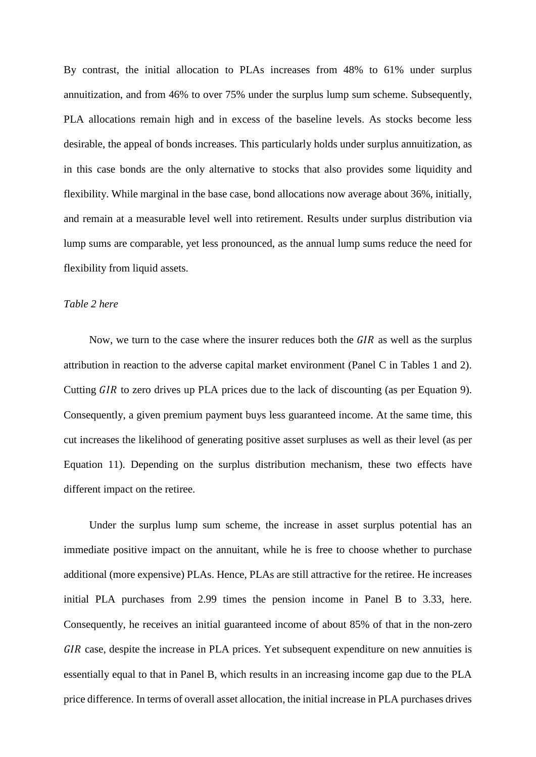By contrast, the initial allocation to PLAs increases from 48% to 61% under surplus annuitization, and from 46% to over 75% under the surplus lump sum scheme. Subsequently, PLA allocations remain high and in excess of the baseline levels. As stocks become less desirable, the appeal of bonds increases. This particularly holds under surplus annuitization, as in this case bonds are the only alternative to stocks that also provides some liquidity and flexibility. While marginal in the base case, bond allocations now average about 36%, initially, and remain at a measurable level well into retirement. Results under surplus distribution via lump sums are comparable, yet less pronounced, as the annual lump sums reduce the need for flexibility from liquid assets.

#### *Table 2 here*

Now, we turn to the case where the insurer reduces both the  $GIR$  as well as the surplus attribution in reaction to the adverse capital market environment (Panel C in Tables 1 and 2). Cutting *GIR* to zero drives up PLA prices due to the lack of discounting (as per Equation 9). Consequently, a given premium payment buys less guaranteed income. At the same time, this cut increases the likelihood of generating positive asset surpluses as well as their level (as per Equation 11). Depending on the surplus distribution mechanism, these two effects have different impact on the retiree.

Under the surplus lump sum scheme, the increase in asset surplus potential has an immediate positive impact on the annuitant, while he is free to choose whether to purchase additional (more expensive) PLAs. Hence, PLAs are still attractive for the retiree. He increases initial PLA purchases from 2.99 times the pension income in Panel B to 3.33, here. Consequently, he receives an initial guaranteed income of about 85% of that in the non-zero GIR case, despite the increase in PLA prices. Yet subsequent expenditure on new annuities is essentially equal to that in Panel B, which results in an increasing income gap due to the PLA price difference. In terms of overall asset allocation, the initial increase in PLA purchases drives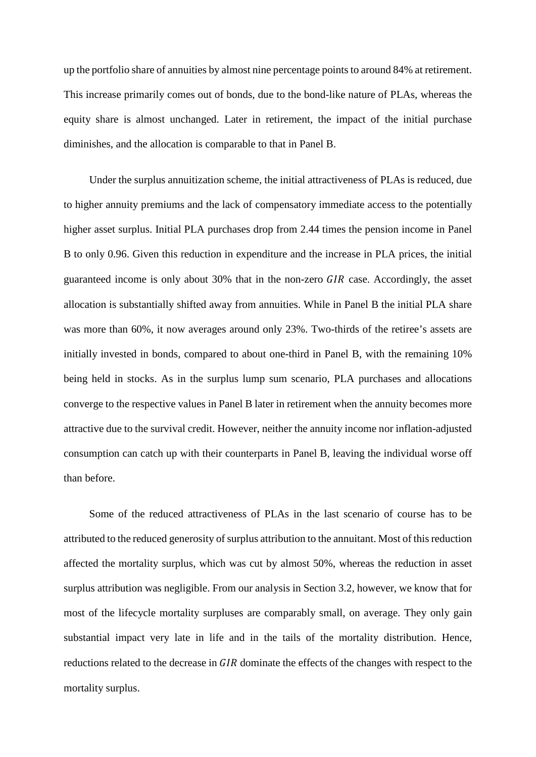up the portfolio share of annuities by almost nine percentage points to around 84% at retirement. This increase primarily comes out of bonds, due to the bond-like nature of PLAs, whereas the equity share is almost unchanged. Later in retirement, the impact of the initial purchase diminishes, and the allocation is comparable to that in Panel B.

Under the surplus annuitization scheme, the initial attractiveness of PLAs is reduced, due to higher annuity premiums and the lack of compensatory immediate access to the potentially higher asset surplus. Initial PLA purchases drop from 2.44 times the pension income in Panel B to only 0.96. Given this reduction in expenditure and the increase in PLA prices, the initial guaranteed income is only about  $30\%$  that in the non-zero  $GIR$  case. Accordingly, the asset allocation is substantially shifted away from annuities. While in Panel B the initial PLA share was more than 60%, it now averages around only 23%. Two-thirds of the retiree's assets are initially invested in bonds, compared to about one-third in Panel B, with the remaining 10% being held in stocks. As in the surplus lump sum scenario, PLA purchases and allocations converge to the respective values in Panel B later in retirement when the annuity becomes more attractive due to the survival credit. However, neither the annuity income nor inflation-adjusted consumption can catch up with their counterparts in Panel B, leaving the individual worse off than before.

Some of the reduced attractiveness of PLAs in the last scenario of course has to be attributed to the reduced generosity of surplus attribution to the annuitant. Most of thisreduction affected the mortality surplus, which was cut by almost 50%, whereas the reduction in asset surplus attribution was negligible. From our analysis in Section 3.2, however, we know that for most of the lifecycle mortality surpluses are comparably small, on average. They only gain substantial impact very late in life and in the tails of the mortality distribution. Hence, reductions related to the decrease in GIR dominate the effects of the changes with respect to the mortality surplus.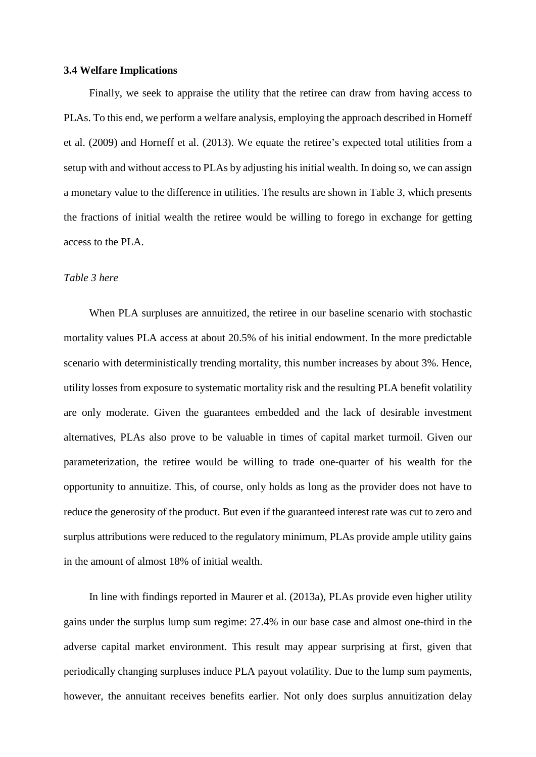#### **3.4 Welfare Implications**

Finally, we seek to appraise the utility that the retiree can draw from having access to PLAs. To this end, we perform a welfare analysis, employing the approach described in Horneff et al. (2009) and Horneff et al. (2013). We equate the retiree's expected total utilities from a setup with and without access to PLAs by adjusting his initial wealth. In doing so, we can assign a monetary value to the difference in utilities. The results are shown in Table 3, which presents the fractions of initial wealth the retiree would be willing to forego in exchange for getting access to the PLA.

#### *Table 3 here*

When PLA surpluses are annuitized, the retiree in our baseline scenario with stochastic mortality values PLA access at about 20.5% of his initial endowment. In the more predictable scenario with deterministically trending mortality, this number increases by about 3%. Hence, utility losses from exposure to systematic mortality risk and the resulting PLA benefit volatility are only moderate. Given the guarantees embedded and the lack of desirable investment alternatives, PLAs also prove to be valuable in times of capital market turmoil. Given our parameterization, the retiree would be willing to trade one-quarter of his wealth for the opportunity to annuitize. This, of course, only holds as long as the provider does not have to reduce the generosity of the product. But even if the guaranteed interest rate was cut to zero and surplus attributions were reduced to the regulatory minimum, PLAs provide ample utility gains in the amount of almost 18% of initial wealth.

In line with findings reported in Maurer et al. (2013a), PLAs provide even higher utility gains under the surplus lump sum regime: 27.4% in our base case and almost one-third in the adverse capital market environment. This result may appear surprising at first, given that periodically changing surpluses induce PLA payout volatility. Due to the lump sum payments, however, the annuitant receives benefits earlier. Not only does surplus annuitization delay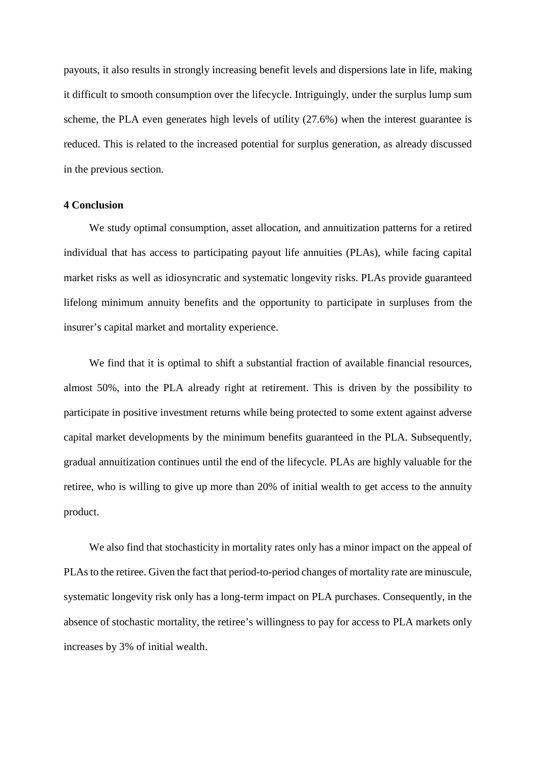payouts, it also results in strongly increasing benefit levels and dispersions late in life, making it difficult to smooth consumption over the lifecycle. Intriguingly, under the surplus lump sum scheme, the PLA even generates high levels of utility (27.6%) when the interest guarantee is reduced. This is related to the increased potential for surplus generation, as already discussed in the previous section.

#### **4 Conclusion**

We study optimal consumption, asset allocation, and annuitization patterns for a retired individual that has access to participating payout life annuities (PLAs), while facing capital market risks as well as idiosyncratic and systematic longevity risks. PLAs provide guaranteed lifelong minimum annuity benefits and the opportunity to participate in surpluses from the insurer's capital market and mortality experience.

We find that it is optimal to shift a substantial fraction of available financial resources, almost 50%, into the PLA already right at retirement. This is driven by the possibility to participate in positive investment returns while being protected to some extent against adverse capital market developments by the minimum benefits guaranteed in the PLA. Subsequently, gradual annuitization continues until the end of the lifecycle. PLAs are highly valuable for the retiree, who is willing to give up more than 20% of initial wealth to get access to the annuity product.

We also find that stochasticity in mortality rates only has a minor impact on the appeal of PLAs to the retiree. Given the fact that period-to-period changes of mortality rate are minuscule, systematic longevity risk only has a long-term impact on PLA purchases. Consequently, in the absence of stochastic mortality, the retiree's willingness to pay for access to PLA markets only increases by 3% of initial wealth.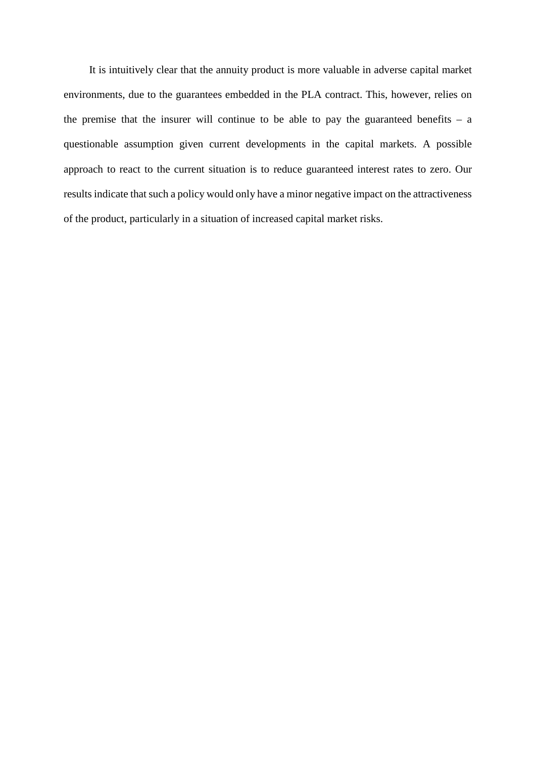It is intuitively clear that the annuity product is more valuable in adverse capital market environments, due to the guarantees embedded in the PLA contract. This, however, relies on the premise that the insurer will continue to be able to pay the guaranteed benefits  $-$  a questionable assumption given current developments in the capital markets. A possible approach to react to the current situation is to reduce guaranteed interest rates to zero. Our results indicate that such a policy would only have a minor negative impact on the attractiveness of the product, particularly in a situation of increased capital market risks.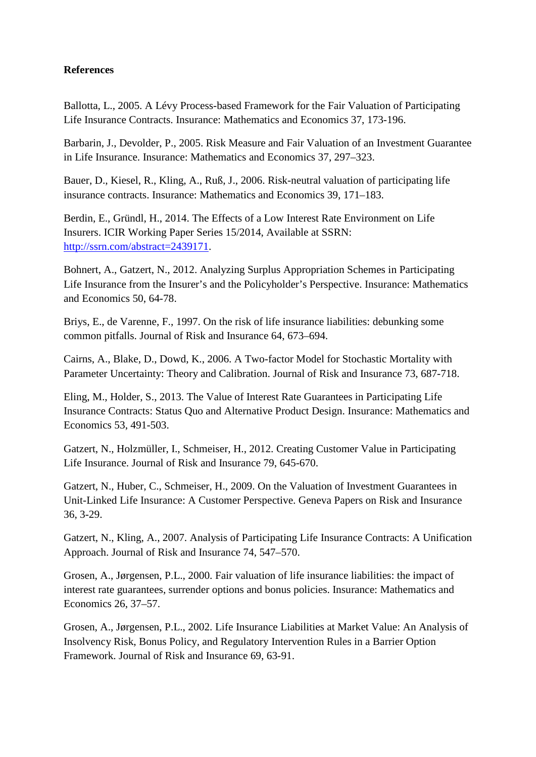#### **References**

Ballotta, L., 2005. A Lévy Process-based Framework for the Fair Valuation of Participating Life Insurance Contracts. Insurance: Mathematics and Economics 37, 173-196.

Barbarin, J., Devolder, P., 2005. Risk Measure and Fair Valuation of an Investment Guarantee in Life Insurance. Insurance: Mathematics and Economics 37, 297–323.

Bauer, D., Kiesel, R., Kling, A., Ruß, J., 2006. Risk-neutral valuation of participating life insurance contracts. Insurance: Mathematics and Economics 39, 171–183.

Berdin, E., Gründl, H., 2014. The Effects of a Low Interest Rate Environment on Life Insurers. ICIR Working Paper Series 15/2014, Available at SSRN: [http://ssrn.com/abstract=2439171.](http://ssrn.com/abstract=2439171)

Bohnert, A., Gatzert, N., 2012. Analyzing Surplus Appropriation Schemes in Participating Life Insurance from the Insurer's and the Policyholder's Perspective. Insurance: Mathematics and Economics 50, 64-78.

Briys, E., de Varenne, F., 1997. On the risk of life insurance liabilities: debunking some common pitfalls. Journal of Risk and Insurance 64, 673–694.

Cairns, A., Blake, D., Dowd, K., 2006. A Two-factor Model for Stochastic Mortality with Parameter Uncertainty: Theory and Calibration. Journal of Risk and Insurance 73, 687-718.

Eling, M., Holder, S., 2013. The Value of Interest Rate Guarantees in Participating Life Insurance Contracts: Status Quo and Alternative Product Design. Insurance: Mathematics and Economics 53, 491-503.

Gatzert, N., Holzmüller, I., Schmeiser, H., 2012. Creating Customer Value in Participating Life Insurance. Journal of Risk and Insurance 79, 645-670.

Gatzert, N., Huber, C., Schmeiser, H., 2009. On the Valuation of Investment Guarantees in Unit-Linked Life Insurance: A Customer Perspective. Geneva Papers on Risk and Insurance 36, 3-29.

Gatzert, N., Kling, A., 2007. Analysis of Participating Life Insurance Contracts: A Unification Approach. Journal of Risk and Insurance 74, 547–570.

Grosen, A., Jørgensen, P.L., 2000. Fair valuation of life insurance liabilities: the impact of interest rate guarantees, surrender options and bonus policies. Insurance: Mathematics and Economics 26, 37–57.

Grosen, A., Jørgensen, P.L., 2002. Life Insurance Liabilities at Market Value: An Analysis of Insolvency Risk, Bonus Policy, and Regulatory Intervention Rules in a Barrier Option Framework. Journal of Risk and Insurance 69, 63-91.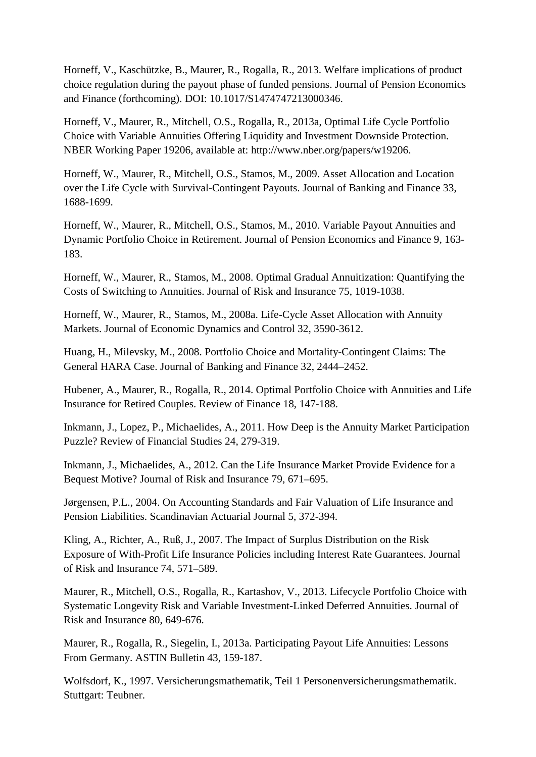Horneff, V., Kaschützke, B., Maurer, R., Rogalla, R., 2013. Welfare implications of product choice regulation during the payout phase of funded pensions. Journal of Pension Economics and Finance (forthcoming). DOI: 10.1017/S1474747213000346.

Horneff, V., Maurer, R., Mitchell, O.S., Rogalla, R., 2013a, Optimal Life Cycle Portfolio Choice with Variable Annuities Offering Liquidity and Investment Downside Protection. NBER Working Paper 19206, available at: http://www.nber.org/papers/w19206.

Horneff, W., Maurer, R., Mitchell, O.S., Stamos, M., 2009. Asset Allocation and Location over the Life Cycle with Survival-Contingent Payouts. Journal of Banking and Finance 33, 1688-1699.

Horneff, W., Maurer, R., Mitchell, O.S., Stamos, M., 2010. Variable Payout Annuities and Dynamic Portfolio Choice in Retirement. Journal of Pension Economics and Finance 9, 163- 183.

Horneff, W., Maurer, R., Stamos, M., 2008. Optimal Gradual Annuitization: Quantifying the Costs of Switching to Annuities. Journal of Risk and Insurance 75, 1019-1038.

Horneff, W., Maurer, R., Stamos, M., 2008a. Life-Cycle Asset Allocation with Annuity Markets. Journal of Economic Dynamics and Control 32, 3590-3612.

Huang, H., Milevsky, M., 2008. Portfolio Choice and Mortality-Contingent Claims: The General HARA Case. Journal of Banking and Finance 32, 2444–2452.

Hubener, A., Maurer, R., Rogalla, R., 2014. Optimal Portfolio Choice with Annuities and Life Insurance for Retired Couples. Review of Finance 18, 147-188.

Inkmann, J., Lopez, P., Michaelides, A., 2011. How Deep is the Annuity Market Participation Puzzle? Review of Financial Studies 24, 279-319.

Inkmann, J., Michaelides, A., 2012. Can the Life Insurance Market Provide Evidence for a Bequest Motive? Journal of Risk and Insurance 79, 671–695.

Jørgensen, P.L., 2004. On Accounting Standards and Fair Valuation of Life Insurance and Pension Liabilities. Scandinavian Actuarial Journal 5, 372-394.

Kling, A., Richter, A., Ruß, J., 2007. The Impact of Surplus Distribution on the Risk Exposure of With-Profit Life Insurance Policies including Interest Rate Guarantees. Journal of Risk and Insurance 74, 571–589.

Maurer, R., Mitchell, O.S., Rogalla, R., Kartashov, V., 2013. Lifecycle Portfolio Choice with Systematic Longevity Risk and Variable Investment-Linked Deferred Annuities. Journal of Risk and Insurance 80, 649-676.

Maurer, R., Rogalla, R., Siegelin, I., 2013a. Participating Payout Life Annuities: Lessons From Germany. ASTIN Bulletin 43, 159-187.

Wolfsdorf, K., 1997. Versicherungsmathematik, Teil 1 Personenversicherungsmathematik. Stuttgart: Teubner.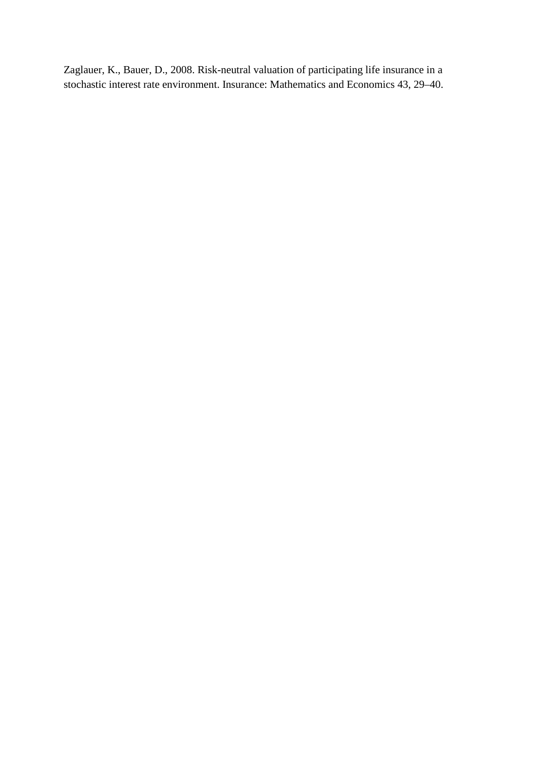Zaglauer, K., Bauer, D., 2008. Risk-neutral valuation of participating life insurance in a stochastic interest rate environment. Insurance: Mathematics and Economics 43, 29–40.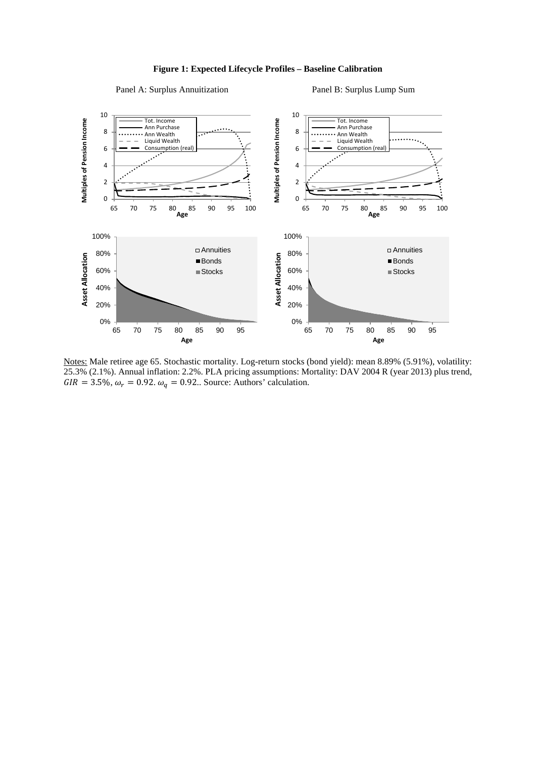#### **Figure 1: Expected Lifecycle Profiles – Baseline Calibration**

#### Panel A: Surplus Annuitization Panel B: Surplus Lump Sum



Notes: Male retiree age 65. Stochastic mortality. Log-return stocks (bond yield): mean 8.89% (5.91%), volatility: 25.3% (2.1%). Annual inflation: 2.2%. PLA pricing assumptions: Mortality: DAV 2004 R (year 2013) plus trend,  $GIR = 3.5\%, \omega_r = 0.92. \omega_q = 0.92.$  Source: Authors' calculation.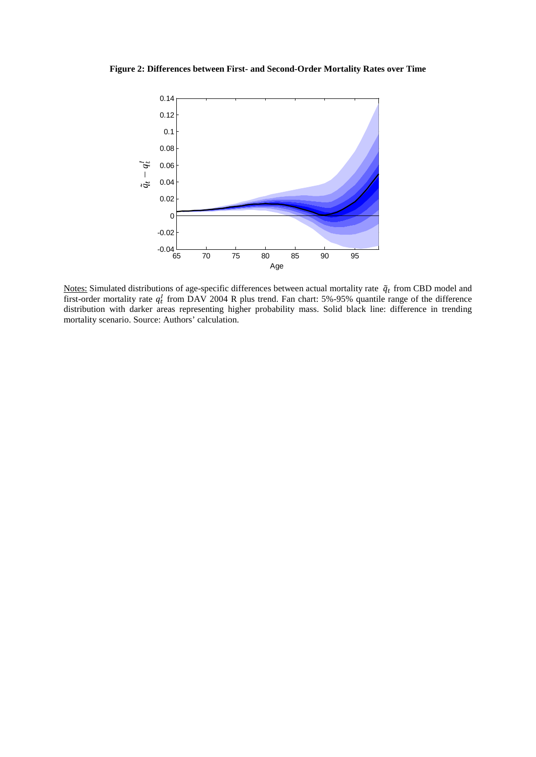#### **Figure 2: Differences between First- and Second-Order Mortality Rates over Time**



Notes: Simulated distributions of age-specific differences between actual mortality rate  $\tilde{q}_t$  from CBD model and first-order mortality rate  $q_t^l$  from DAV 2004 R plus trend. Fan chart: 5%-95% quantile range of the difference distribution with darker areas representing higher probability mass. Solid black line: difference in trending mortality scenario. Source: Authors' calculation.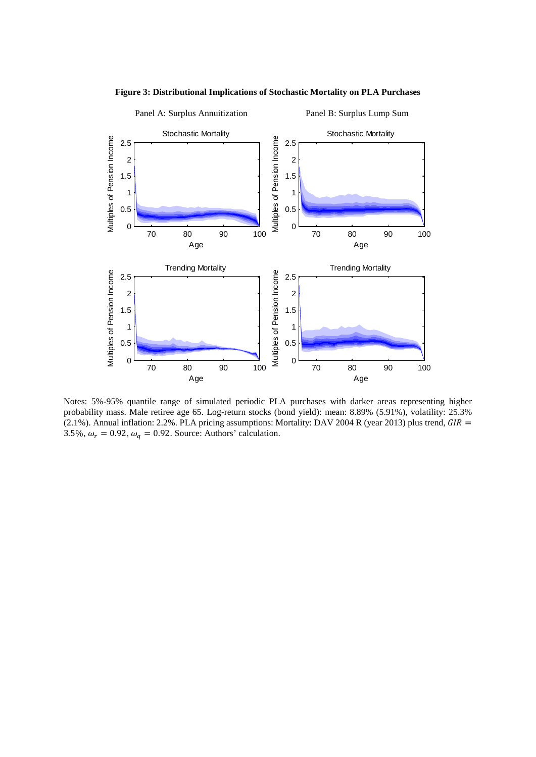

**Figure 3: Distributional Implications of Stochastic Mortality on PLA Purchases**

Notes: 5%-95% quantile range of simulated periodic PLA purchases with darker areas representing higher probability mass. Male retiree age 65. Log-return stocks (bond yield): mean: 8.89% (5.91%), volatility: 25.3% (2.1%). Annual inflation: 2.2%. PLA pricing assumptions: Mortality: DAV 2004 R (year 2013) plus trend,  $GIR =$ 3.5%,  $\omega_r = 0.92$ ,  $\omega_q = 0.92$ . Source: Authors' calculation.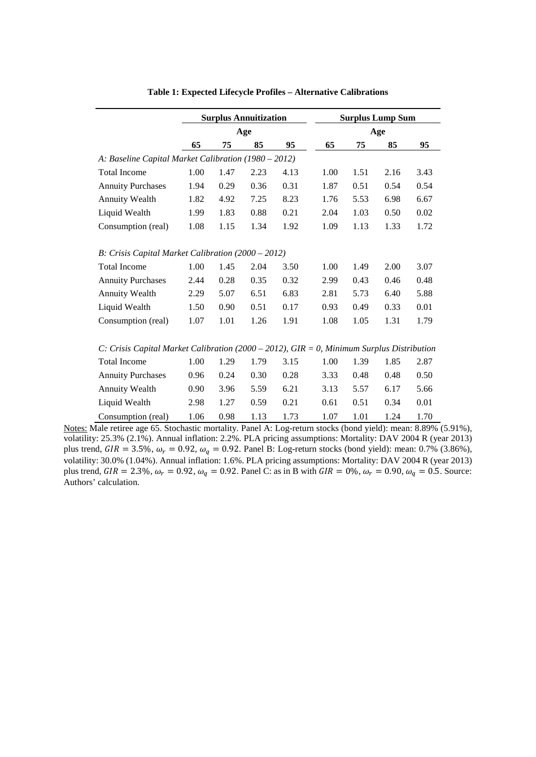|                                                                                           | <b>Surplus Annuitization</b> |      |      | <b>Surplus Lump Sum</b> |      |      |      |      |
|-------------------------------------------------------------------------------------------|------------------------------|------|------|-------------------------|------|------|------|------|
|                                                                                           | Age                          |      |      |                         | Age  |      |      |      |
|                                                                                           | 65                           | 75   | 85   | 95                      | 65   | 75   | 85   | 95   |
| A: Baseline Capital Market Calibration (1980 – 2012)                                      |                              |      |      |                         |      |      |      |      |
| <b>Total Income</b>                                                                       | 1.00                         | 1.47 | 2.23 | 4.13                    | 1.00 | 1.51 | 2.16 | 3.43 |
| <b>Annuity Purchases</b>                                                                  | 1.94                         | 0.29 | 0.36 | 0.31                    | 1.87 | 0.51 | 0.54 | 0.54 |
| <b>Annuity Wealth</b>                                                                     | 1.82                         | 4.92 | 7.25 | 8.23                    | 1.76 | 5.53 | 6.98 | 6.67 |
| Liquid Wealth                                                                             | 1.99                         | 1.83 | 0.88 | 0.21                    | 2.04 | 1.03 | 0.50 | 0.02 |
| Consumption (real)                                                                        | 1.08                         | 1.15 | 1.34 | 1.92                    | 1.09 | 1.13 | 1.33 | 1.72 |
| B: Crisis Capital Market Calibration (2000 – 2012)                                        |                              |      |      |                         |      |      |      |      |
| <b>Total Income</b>                                                                       | 1.00                         | 1.45 | 2.04 | 3.50                    | 1.00 | 1.49 | 2.00 | 3.07 |
| <b>Annuity Purchases</b>                                                                  | 2.44                         | 0.28 | 0.35 | 0.32                    | 2.99 | 0.43 | 0.46 | 0.48 |
| <b>Annuity Wealth</b>                                                                     | 2.29                         | 5.07 | 6.51 | 6.83                    | 2.81 | 5.73 | 6.40 | 5.88 |
| Liquid Wealth                                                                             | 1.50                         | 0.90 | 0.51 | 0.17                    | 0.93 | 0.49 | 0.33 | 0.01 |
| Consumption (real)                                                                        | 1.07                         | 1.01 | 1.26 | 1.91                    | 1.08 | 1.05 | 1.31 | 1.79 |
| C: Crisis Capital Market Calibration (2000 – 2012), GIR = 0, Minimum Surplus Distribution |                              |      |      |                         |      |      |      |      |
| <b>Total Income</b>                                                                       | 1.00                         | 1.29 | 1.79 | 3.15                    | 1.00 | 1.39 | 1.85 | 2.87 |
| <b>Annuity Purchases</b>                                                                  | 0.96                         | 0.24 | 0.30 | 0.28                    | 3.33 | 0.48 | 0.48 | 0.50 |
| <b>Annuity Wealth</b>                                                                     | 0.90                         | 3.96 | 5.59 | 6.21                    | 3.13 | 5.57 | 6.17 | 5.66 |
| Liquid Wealth                                                                             | 2.98                         | 1.27 | 0.59 | 0.21                    | 0.61 | 0.51 | 0.34 | 0.01 |
| Consumption (real)                                                                        | 1.06                         | 0.98 | 1.13 | 1.73                    | 1.07 | 1.01 | 1.24 | 1.70 |

**Table 1: Expected Lifecycle Profiles – Alternative Calibrations**

Notes: Male retiree age 65. Stochastic mortality. Panel A: Log-return stocks (bond yield): mean: 8.89% (5.91%), volatility: 25.3% (2.1%). Annual inflation: 2.2%. PLA pricing assumptions: Mortality: DAV 2004 R (year 2013) plus trend,  $GIR = 3.5\%, \omega_r = 0.92, \omega_q = 0.92$ . Panel B: Log-return stocks (bond yield): mean: 0.7% (3.86%), volatility: 30.0% (1.04%). Annual inflation: 1.6%. PLA pricing assumptions: Mortality: DAV 2004 R (year 2013) plus trend,  $GIR = 2.3\%, \omega_r = 0.92, \omega_q = 0.92$ . Panel C: as in B with  $GIR = 0\%, \omega_r = 0.90, \omega_q = 0.5$ . Source: Authors' calculation.